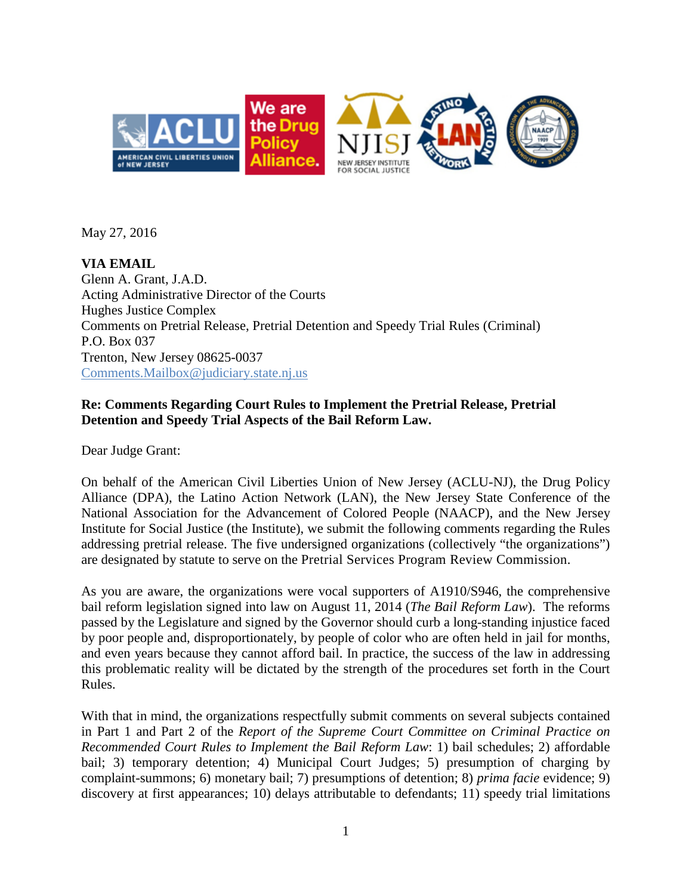

May 27, 2016

**VIA EMAIL**  Glenn A. Grant, J.A.D. Acting Administrative Director of the Courts Hughes Justice Complex Comments on Pretrial Release, Pretrial Detention and Speedy Trial Rules (Criminal) P.O. Box 037 Trenton, New Jersey 08625-0037 [Comments.Mailbox@judiciary.state.nj.us](mailto:Comments.Mailbox@judiciary.state.nj.us)

# **Re: Comments Regarding Court Rules to Implement the Pretrial Release, Pretrial Detention and Speedy Trial Aspects of the Bail Reform Law.**

Dear Judge Grant:

On behalf of the American Civil Liberties Union of New Jersey (ACLU-NJ), the Drug Policy Alliance (DPA), the Latino Action Network (LAN), the New Jersey State Conference of the National Association for the Advancement of Colored People (NAACP), and the New Jersey Institute for Social Justice (the Institute), we submit the following comments regarding the Rules addressing pretrial release. The five undersigned organizations (collectively "the organizations") are designated by statute to serve on the Pretrial Services Program Review Commission.

As you are aware, the organizations were vocal supporters of A1910/S946, the comprehensive bail reform legislation signed into law on August 11, 2014 (*The Bail Reform Law*). The reforms passed by the Legislature and signed by the Governor should curb a long-standing injustice faced by poor people and, disproportionately, by people of color who are often held in jail for months, and even years because they cannot afford bail. In practice, the success of the law in addressing this problematic reality will be dictated by the strength of the procedures set forth in the Court Rules.

With that in mind, the organizations respectfully submit comments on several subjects contained in Part 1 and Part 2 of the *Report of the Supreme Court Committee on Criminal Practice on Recommended Court Rules to Implement the Bail Reform Law*: 1) bail schedules; 2) affordable bail; 3) temporary detention; 4) Municipal Court Judges; 5) presumption of charging by complaint-summons; 6) monetary bail; 7) presumptions of detention; 8) *prima facie* evidence; 9) discovery at first appearances; 10) delays attributable to defendants; 11) speedy trial limitations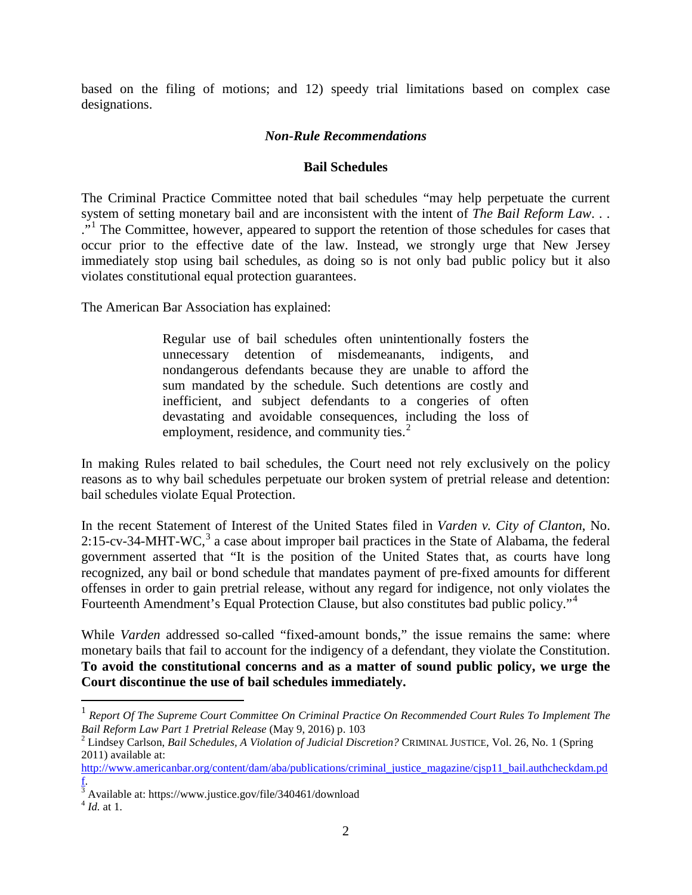based on the filing of motions; and 12) speedy trial limitations based on complex case designations.

## *Non-Rule Recommendations*

### **Bail Schedules**

The Criminal Practice Committee noted that bail schedules "may help perpetuate the current system of setting monetary bail and are inconsistent with the intent of *The Bail Reform Law*. . . <sup>"</sup>." The Committee, however, appeared to support the retention of those schedules for cases that occur prior to the effective date of the law. Instead, we strongly urge that New Jersey immediately stop using bail schedules, as doing so is not only bad public policy but it also violates constitutional equal protection guarantees.

The American Bar Association has explained:

Regular use of bail schedules often unintentionally fosters the unnecessary detention of misdemeanants, indigents, and nondangerous defendants because they are unable to afford the sum mandated by the schedule. Such detentions are costly and inefficient, and subject defendants to a congeries of often devastating and avoidable consequences, including the loss of employment, residence, and community ties. $<sup>2</sup>$  $<sup>2</sup>$  $<sup>2</sup>$ </sup>

In making Rules related to bail schedules, the Court need not rely exclusively on the policy reasons as to why bail schedules perpetuate our broken system of pretrial release and detention: bail schedules violate Equal Protection.

In the recent Statement of Interest of the United States filed in *Varden v. City of Clanton*, No. 2:15-cv-[3](#page-1-2)4-MHT-WC, $3$  a case about improper bail practices in the State of Alabama, the federal government asserted that "It is the position of the United States that, as courts have long recognized, any bail or bond schedule that mandates payment of pre-fixed amounts for different offenses in order to gain pretrial release, without any regard for indigence, not only violates the Fourteenth Amendment's Equal Protection Clause, but also constitutes bad public policy."<sup>[4](#page-1-3)</sup>

While *Varden* addressed so-called "fixed-amount bonds," the issue remains the same: where monetary bails that fail to account for the indigency of a defendant, they violate the Constitution. **To avoid the constitutional concerns and as a matter of sound public policy, we urge the Court discontinue the use of bail schedules immediately.**

<span id="page-1-0"></span> <sup>1</sup> *Report Of The Supreme Court Committee On Criminal Practice On Recommended Court Rules To Implement The Bail Reform Law Part 1 Pretrial Release* (May 9, 2016) p. 103<br><sup>2</sup> Lindsey Carlson, *Bail Schedules, A Violation of Judicial Discretion?* CRIMINAL JUSTICE, Vol. 26, No. 1 (Spring

<span id="page-1-1"></span><sup>2011)</sup> available at:

[http://www.americanbar.org/content/dam/aba/publications/criminal\\_justice\\_magazine/cjsp11\\_bail.authcheckdam.pd](http://www.americanbar.org/content/dam/aba/publications/criminal_justice_magazine/cjsp11_bail.authcheckdam.pdf) [f.](http://www.americanbar.org/content/dam/aba/publications/criminal_justice_magazine/cjsp11_bail.authcheckdam.pdf) 

<span id="page-1-2"></span><sup>&</sup>lt;sup>3</sup> Available at: https://www.justice.gov/file/340461/download

<span id="page-1-3"></span><sup>4</sup> *Id.* at 1.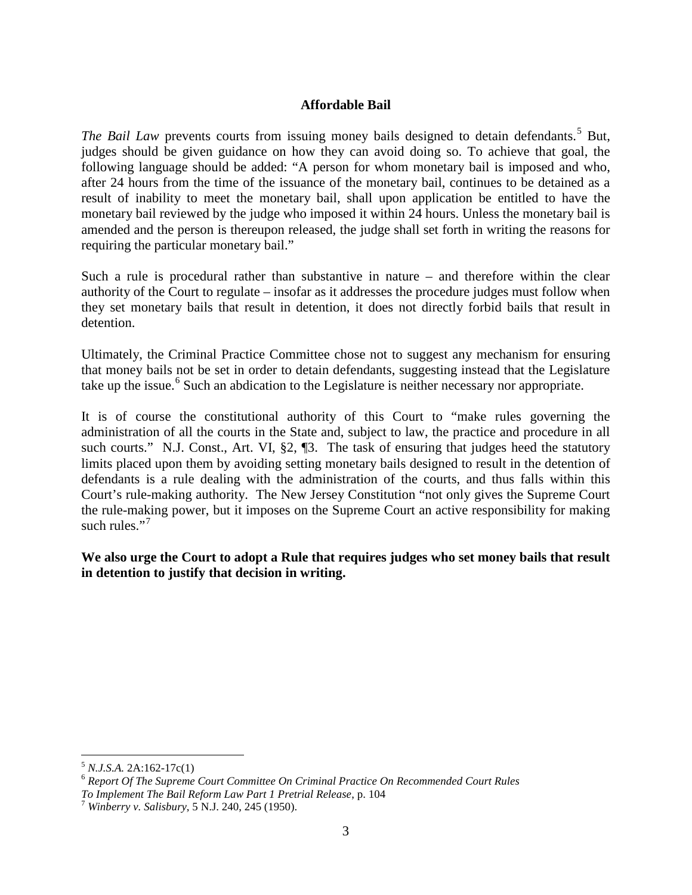## **Affordable Bail**

*The Bail Law* prevents courts from issuing money bails designed to detain defendants.<sup>[5](#page-2-0)</sup> But, judges should be given guidance on how they can avoid doing so. To achieve that goal, the following language should be added: "A person for whom monetary bail is imposed and who, after 24 hours from the time of the issuance of the monetary bail, continues to be detained as a result of inability to meet the monetary bail, shall upon application be entitled to have the monetary bail reviewed by the judge who imposed it within 24 hours. Unless the monetary bail is amended and the person is thereupon released, the judge shall set forth in writing the reasons for requiring the particular monetary bail."

Such a rule is procedural rather than substantive in nature – and therefore within the clear authority of the Court to regulate – insofar as it addresses the procedure judges must follow when they set monetary bails that result in detention, it does not directly forbid bails that result in detention.

Ultimately, the Criminal Practice Committee chose not to suggest any mechanism for ensuring that money bails not be set in order to detain defendants, suggesting instead that the Legislature take up the issue.<sup>[6](#page-2-1)</sup> Such an abdication to the Legislature is neither necessary nor appropriate.

It is of course the constitutional authority of this Court to "make rules governing the administration of all the courts in the State and, subject to law, the practice and procedure in all such courts." N.J. Const., Art. VI, §2, ¶3. The task of ensuring that judges heed the statutory limits placed upon them by avoiding setting monetary bails designed to result in the detention of defendants is a rule dealing with the administration of the courts, and thus falls within this Court's rule-making authority. The New Jersey Constitution "not only gives the Supreme Court the rule-making power, but it imposes on the Supreme Court an active responsibility for making such rules." $\cdot$ <sup>[7](#page-2-2)</sup>

**We also urge the Court to adopt a Rule that requires judges who set money bails that result in detention to justify that decision in writing.**

<span id="page-2-1"></span><span id="page-2-0"></span><sup>&</sup>lt;sup>5</sup> *N.J.S.A. 2A:162-17c(1)*<br><sup>6</sup> *Report Of The Supreme Court Committee On Criminal Practice On Recommended Court Rules To Implement The Bail Reform Law Part 1 Pretrial Release*, p. 104 <sup>7</sup> *Winberry v. Salisbury*, 5 N.J. 240, 245 (1950).

<span id="page-2-2"></span>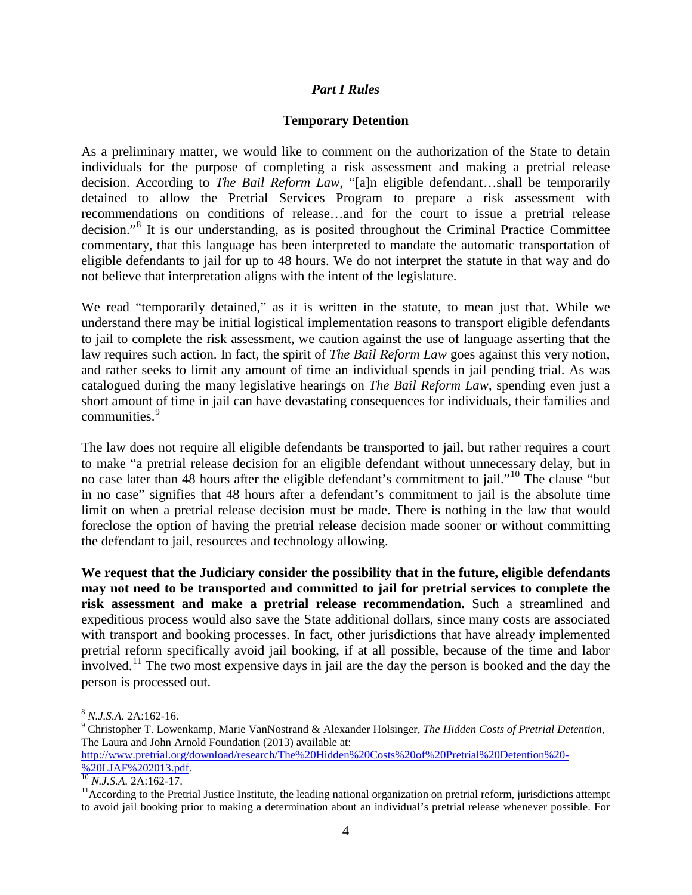## *Part I Rules*

### **Temporary Detention**

As a preliminary matter, we would like to comment on the authorization of the State to detain individuals for the purpose of completing a risk assessment and making a pretrial release decision. According to *The Bail Reform Law*, "[a]n eligible defendant…shall be temporarily detained to allow the Pretrial Services Program to prepare a risk assessment with recommendations on conditions of release…and for the court to issue a pretrial release decision."[8](#page-3-0) It is our understanding, as is posited throughout the Criminal Practice Committee commentary, that this language has been interpreted to mandate the automatic transportation of eligible defendants to jail for up to 48 hours. We do not interpret the statute in that way and do not believe that interpretation aligns with the intent of the legislature.

We read "temporarily detained," as it is written in the statute, to mean just that. While we understand there may be initial logistical implementation reasons to transport eligible defendants to jail to complete the risk assessment, we caution against the use of language asserting that the law requires such action. In fact, the spirit of *The Bail Reform Law* goes against this very notion, and rather seeks to limit any amount of time an individual spends in jail pending trial. As was catalogued during the many legislative hearings on *The Bail Reform Law*, spending even just a short amount of time in jail can have devastating consequences for individuals, their families and communities.<sup>[9](#page-3-1)</sup>

The law does not require all eligible defendants be transported to jail, but rather requires a court to make "a pretrial release decision for an eligible defendant without unnecessary delay, but in no case later than 48 hours after the eligible defendant's commitment to jail."<sup>[10](#page-3-2)</sup> The clause "but in no case" signifies that 48 hours after a defendant's commitment to jail is the absolute time limit on when a pretrial release decision must be made. There is nothing in the law that would foreclose the option of having the pretrial release decision made sooner or without committing the defendant to jail, resources and technology allowing.

**We request that the Judiciary consider the possibility that in the future, eligible defendants may not need to be transported and committed to jail for pretrial services to complete the risk assessment and make a pretrial release recommendation.** Such a streamlined and expeditious process would also save the State additional dollars, since many costs are associated with transport and booking processes. In fact, other jurisdictions that have already implemented pretrial reform specifically avoid jail booking, if at all possible, because of the time and labor involved.[11](#page-3-3) The two most expensive days in jail are the day the person is booked and the day the person is processed out.

<span id="page-3-1"></span><span id="page-3-0"></span><sup>&</sup>lt;sup>8</sup> *N.J.S.A.* 2A:162-16.<br><sup>9</sup> Christopher T. Lowenkamp, Marie VanNostrand & Alexander Holsinger, *The Hidden Costs of Pretrial Detention*, The Laura and John Arnold Foundation (2013) available at: [http://www.pretrial.org/download/research/The%20Hidden%20Costs%20of%20Pretrial%20Detention%20-](http://www.pretrial.org/download/research/The%20Hidden%20Costs%20of%20Pretrial%20Detention%20-%20LJAF%202013.pdf)

<span id="page-3-3"></span><span id="page-3-2"></span> $\frac{10}{10}$  *N.J.S.A.* 2A:162-17.  $\frac{1}{20}$ <br><sup>11</sup>According to the Pretrial Justice Institute, the leading national organization on pretrial reform, jurisdictions attempt to avoid jail booking prior to making a determination about an individual's pretrial release whenever possible. For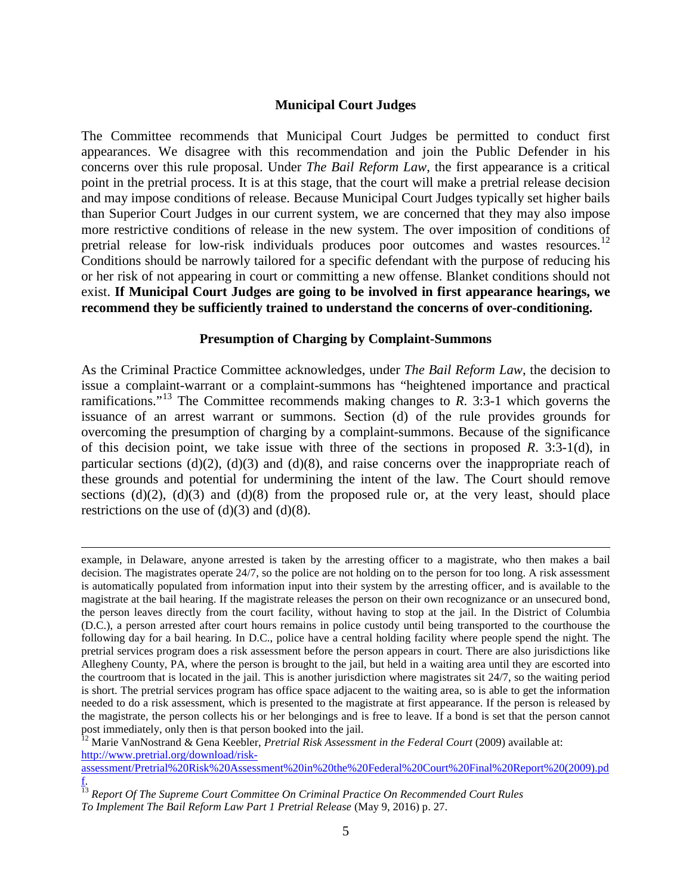### **Municipal Court Judges**

The Committee recommends that Municipal Court Judges be permitted to conduct first appearances. We disagree with this recommendation and join the Public Defender in his concerns over this rule proposal. Under *The Bail Reform Law*, the first appearance is a critical point in the pretrial process. It is at this stage, that the court will make a pretrial release decision and may impose conditions of release. Because Municipal Court Judges typically set higher bails than Superior Court Judges in our current system, we are concerned that they may also impose more restrictive conditions of release in the new system. The over imposition of conditions of pretrial release for low-risk individuals produces poor outcomes and wastes resources.<sup>[12](#page-4-0)</sup> Conditions should be narrowly tailored for a specific defendant with the purpose of reducing his or her risk of not appearing in court or committing a new offense. Blanket conditions should not exist. **If Municipal Court Judges are going to be involved in first appearance hearings, we recommend they be sufficiently trained to understand the concerns of over-conditioning.** 

### **Presumption of Charging by Complaint-Summons**

As the Criminal Practice Committee acknowledges, under *The Bail Reform Law*, the decision to issue a complaint-warrant or a complaint-summons has "heightened importance and practical ramifications."[13](#page-4-1) The Committee recommends making changes to *R*. 3:3-1 which governs the issuance of an arrest warrant or summons. Section (d) of the rule provides grounds for overcoming the presumption of charging by a complaint-summons. Because of the significance of this decision point, we take issue with three of the sections in proposed *R*. 3:3-1(d), in particular sections (d)(2), (d)(3) and (d)(8), and raise concerns over the inappropriate reach of these grounds and potential for undermining the intent of the law. The Court should remove sections (d)(2), (d)(3) and (d)(8) from the proposed rule or, at the very least, should place restrictions on the use of  $(d)(3)$  and  $(d)(8)$ .

<span id="page-4-0"></span>[http://www.pretrial.org/download/risk-](http://www.pretrial.org/download/risk-assessment/Pretrial%20Risk%20Assessment%20in%20the%20Federal%20Court%20Final%20Report%20(2009).pdf)

example, in Delaware, anyone arrested is taken by the arresting officer to a magistrate, who then makes a bail decision. The magistrates operate 24/7, so the police are not holding on to the person for too long. A risk assessment is automatically populated from information input into their system by the arresting officer, and is available to the magistrate at the bail hearing. If the magistrate releases the person on their own recognizance or an unsecured bond, the person leaves directly from the court facility, without having to stop at the jail. In the District of Columbia (D.C.), a person arrested after court hours remains in police custody until being transported to the courthouse the following day for a bail hearing. In D.C., police have a central holding facility where people spend the night. The pretrial services program does a risk assessment before the person appears in court. There are also jurisdictions like Allegheny County, PA, where the person is brought to the jail, but held in a waiting area until they are escorted into the courtroom that is located in the jail. This is another jurisdiction where magistrates sit 24/7, so the waiting period is short. The pretrial services program has office space adjacent to the waiting area, so is able to get the information needed to do a risk assessment, which is presented to the magistrate at first appearance. If the person is released by the magistrate, the person collects his or her belongings and is free to leave. If a bond is set that the person cannot post immediately, only then is that person booked into the jail.<br><sup>12</sup> Marie VanNostrand & Gena Keebler, *Pretrial Risk Assessment in the Federal Court* (2009) available at:

[assessment/Pretrial%20Risk%20Assessment%20in%20the%20Federal%20Court%20Final%20Report%20\(2009\).pd](http://www.pretrial.org/download/risk-assessment/Pretrial%20Risk%20Assessment%20in%20the%20Federal%20Court%20Final%20Report%20(2009).pdf) [f.](http://www.pretrial.org/download/risk-assessment/Pretrial%20Risk%20Assessment%20in%20the%20Federal%20Court%20Final%20Report%20(2009).pdf) 

<span id="page-4-1"></span><sup>&</sup>lt;sup>13</sup> Report Of The Supreme Court Committee On Criminal Practice On Recommended Court Rules *To Implement The Bail Reform Law Part 1 Pretrial Release* (May 9, 2016) p. 27.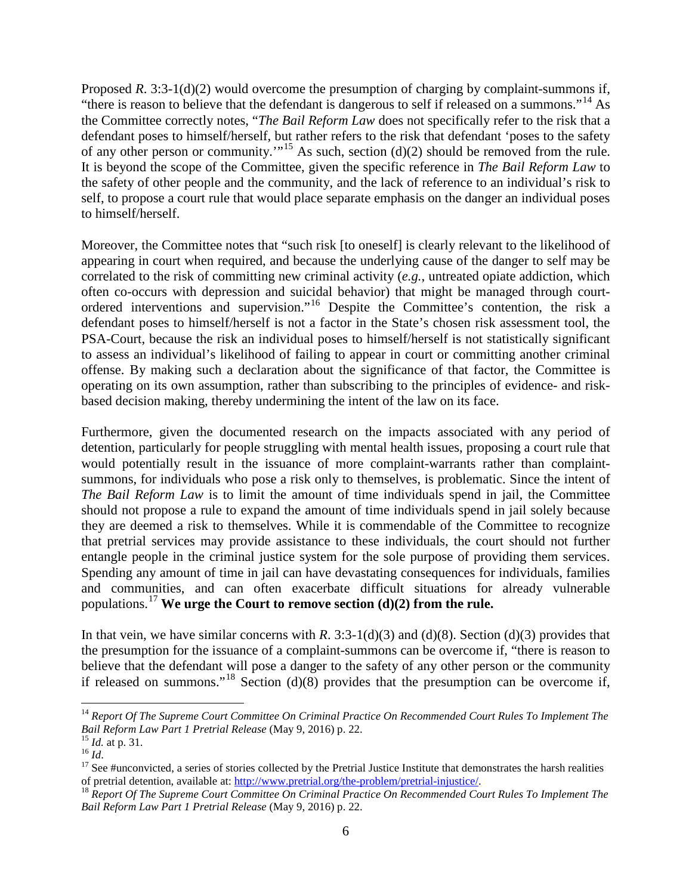Proposed *R*. 3:3-1(d)(2) would overcome the presumption of charging by complaint-summons if, "there is reason to believe that the defendant is dangerous to self if released on a summons."[14](#page-5-0) As the Committee correctly notes, "*The Bail Reform Law* does not specifically refer to the risk that a defendant poses to himself/herself, but rather refers to the risk that defendant 'poses to the safety of any other person or community.'"<sup>[15](#page-5-1)</sup> As such, section (d)(2) should be removed from the rule. It is beyond the scope of the Committee, given the specific reference in *The Bail Reform Law* to the safety of other people and the community, and the lack of reference to an individual's risk to self, to propose a court rule that would place separate emphasis on the danger an individual poses to himself/herself.

Moreover, the Committee notes that "such risk [to oneself] is clearly relevant to the likelihood of appearing in court when required, and because the underlying cause of the danger to self may be correlated to the risk of committing new criminal activity (*e.g.*, untreated opiate addiction, which often co-occurs with depression and suicidal behavior) that might be managed through courtordered interventions and supervision."[16](#page-5-2) Despite the Committee's contention, the risk a defendant poses to himself/herself is not a factor in the State's chosen risk assessment tool, the PSA-Court, because the risk an individual poses to himself/herself is not statistically significant to assess an individual's likelihood of failing to appear in court or committing another criminal offense. By making such a declaration about the significance of that factor, the Committee is operating on its own assumption, rather than subscribing to the principles of evidence- and riskbased decision making, thereby undermining the intent of the law on its face.

Furthermore, given the documented research on the impacts associated with any period of detention, particularly for people struggling with mental health issues, proposing a court rule that would potentially result in the issuance of more complaint-warrants rather than complaintsummons, for individuals who pose a risk only to themselves, is problematic. Since the intent of *The Bail Reform Law* is to limit the amount of time individuals spend in jail, the Committee should not propose a rule to expand the amount of time individuals spend in jail solely because they are deemed a risk to themselves. While it is commendable of the Committee to recognize that pretrial services may provide assistance to these individuals, the court should not further entangle people in the criminal justice system for the sole purpose of providing them services. Spending any amount of time in jail can have devastating consequences for individuals, families and communities, and can often exacerbate difficult situations for already vulnerable populations.[17](#page-5-3) **We urge the Court to remove section (d)(2) from the rule.**

In that vein, we have similar concerns with *R*. 3:3-1(d)(3) and (d)(8). Section (d)(3) provides that the presumption for the issuance of a complaint-summons can be overcome if, "there is reason to believe that the defendant will pose a danger to the safety of any other person or the community if released on summons."<sup>[18](#page-5-4)</sup> Section (d)(8) provides that the presumption can be overcome if,

<span id="page-5-0"></span><sup>&</sup>lt;sup>14</sup> Report Of The Supreme Court Committee On Criminal Practice On Recommended Court Rules To Implement The Bail Reform Law Part 1 Pretrial Release (May 9, 2016) p. 22.

<span id="page-5-2"></span>

<span id="page-5-3"></span>

<span id="page-5-1"></span><sup>&</sup>lt;sup>15</sup> *Id.* at p. 31.<br><sup>16</sup> *Id.*<br><sup>17</sup> See #unconvicted, a series of stories collected by the Pretrial Justice Institute that demonstrates the harsh realities of pretrial detention, available at: [http://www.pretrial.org/the-problem/pretrial-injustice/.](http://www.pretrial.org/the-problem/pretrial-injustice/) 18 *Report Of The Supreme Court Committee On Criminal Practice On Recommended Court Rules To Implement The* 

<span id="page-5-4"></span>*Bail Reform Law Part 1 Pretrial Release* (May 9, 2016) p. 22.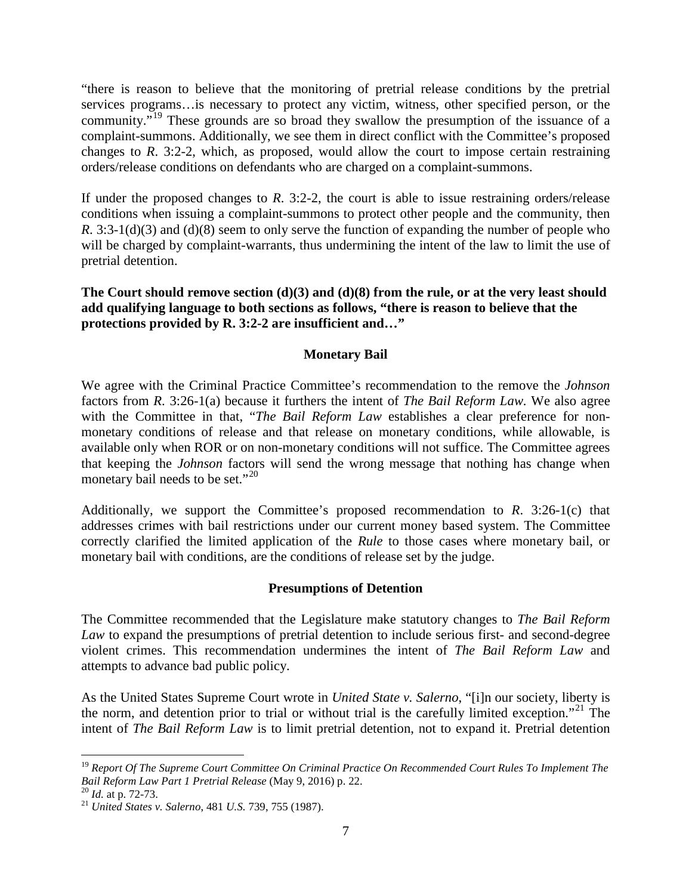"there is reason to believe that the monitoring of pretrial release conditions by the pretrial services programs…is necessary to protect any victim, witness, other specified person, or the community."<sup>[19](#page-6-0)</sup> These grounds are so broad they swallow the presumption of the issuance of a complaint-summons. Additionally, we see them in direct conflict with the Committee's proposed changes to *R*. 3:2-2, which, as proposed, would allow the court to impose certain restraining orders/release conditions on defendants who are charged on a complaint-summons.

If under the proposed changes to *R*. 3:2-2, the court is able to issue restraining orders/release conditions when issuing a complaint-summons to protect other people and the community, then *R*. 3:3-1(d)(3) and (d)(8) seem to only serve the function of expanding the number of people who will be charged by complaint-warrants, thus undermining the intent of the law to limit the use of pretrial detention.

**The Court should remove section (d)(3) and (d)(8) from the rule, or at the very least should add qualifying language to both sections as follows, "there is reason to believe that the protections provided by R. 3:2-2 are insufficient and…"** 

## **Monetary Bail**

We agree with the Criminal Practice Committee's recommendation to the remove the *Johnson* factors from *R*. 3:26-1(a) because it furthers the intent of *The Bail Reform Law.* We also agree with the Committee in that, "*The Bail Reform Law* establishes a clear preference for nonmonetary conditions of release and that release on monetary conditions, while allowable, is available only when ROR or on non-monetary conditions will not suffice. The Committee agrees that keeping the *Johnson* factors will send the wrong message that nothing has change when monetary bail needs to be set."<sup>[20](#page-6-1)</sup>

Additionally, we support the Committee's proposed recommendation to *R*. 3:26-1(c) that addresses crimes with bail restrictions under our current money based system. The Committee correctly clarified the limited application of the *Rule* to those cases where monetary bail, or monetary bail with conditions, are the conditions of release set by the judge.

## **Presumptions of Detention**

The Committee recommended that the Legislature make statutory changes to *The Bail Reform Law* to expand the presumptions of pretrial detention to include serious first- and second-degree violent crimes. This recommendation undermines the intent of *The Bail Reform Law* and attempts to advance bad public policy.

As the United States Supreme Court wrote in *United State v. Salerno*, "[i]n our society, liberty is the norm, and detention prior to trial or without trial is the carefully limited exception."<sup>[21](#page-6-2)</sup> The intent of *The Bail Reform Law* is to limit pretrial detention, not to expand it. Pretrial detention

<span id="page-6-0"></span><sup>&</sup>lt;sup>19</sup> Report Of The Supreme Court Committee On Criminal Practice On Recommended Court Rules To Implement The Bail Reform Law Part 1 Pretrial Release (May 9, 2016) p. 22.

<span id="page-6-2"></span>

<span id="page-6-1"></span>*Bail Reform Law Part 1 Pretrial Release* (May 9, 2016) p. 22. <sup>20</sup> *Id.* at p. 72-73. <sup>21</sup> *United States v. Salerno*, 481 *U.S.* 739, 755 (1987).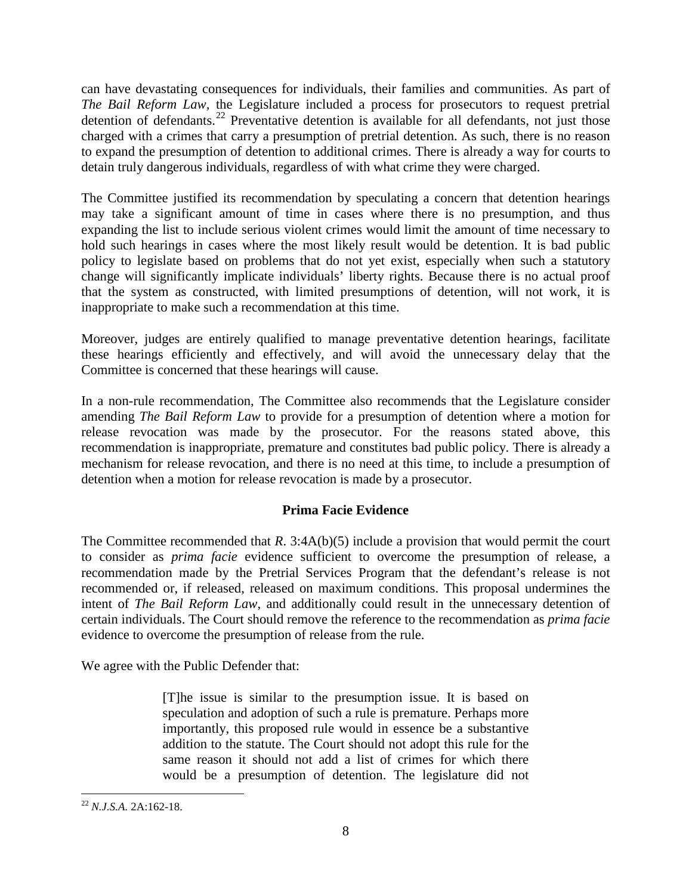can have devastating consequences for individuals, their families and communities. As part of *The Bail Reform Law,* the Legislature included a process for prosecutors to request pretrial detention of defendants.<sup>[22](#page-7-0)</sup> Preventative detention is available for all defendants, not just those charged with a crimes that carry a presumption of pretrial detention. As such, there is no reason to expand the presumption of detention to additional crimes. There is already a way for courts to detain truly dangerous individuals, regardless of with what crime they were charged.

The Committee justified its recommendation by speculating a concern that detention hearings may take a significant amount of time in cases where there is no presumption, and thus expanding the list to include serious violent crimes would limit the amount of time necessary to hold such hearings in cases where the most likely result would be detention. It is bad public policy to legislate based on problems that do not yet exist, especially when such a statutory change will significantly implicate individuals' liberty rights. Because there is no actual proof that the system as constructed, with limited presumptions of detention, will not work, it is inappropriate to make such a recommendation at this time.

Moreover, judges are entirely qualified to manage preventative detention hearings, facilitate these hearings efficiently and effectively, and will avoid the unnecessary delay that the Committee is concerned that these hearings will cause.

In a non-rule recommendation, The Committee also recommends that the Legislature consider amending *The Bail Reform Law* to provide for a presumption of detention where a motion for release revocation was made by the prosecutor. For the reasons stated above, this recommendation is inappropriate, premature and constitutes bad public policy. There is already a mechanism for release revocation, and there is no need at this time, to include a presumption of detention when a motion for release revocation is made by a prosecutor.

# **Prima Facie Evidence**

The Committee recommended that *R*. 3:4A(b)(5) include a provision that would permit the court to consider as *prima facie* evidence sufficient to overcome the presumption of release, a recommendation made by the Pretrial Services Program that the defendant's release is not recommended or, if released, released on maximum conditions. This proposal undermines the intent of *The Bail Reform Law*, and additionally could result in the unnecessary detention of certain individuals. The Court should remove the reference to the recommendation as *prima facie* evidence to overcome the presumption of release from the rule.

We agree with the Public Defender that:

[T]he issue is similar to the presumption issue. It is based on speculation and adoption of such a rule is premature. Perhaps more importantly, this proposed rule would in essence be a substantive addition to the statute. The Court should not adopt this rule for the same reason it should not add a list of crimes for which there would be a presumption of detention. The legislature did not

<span id="page-7-0"></span> <sup>22</sup> *N.J.S.A.* 2A:162-18.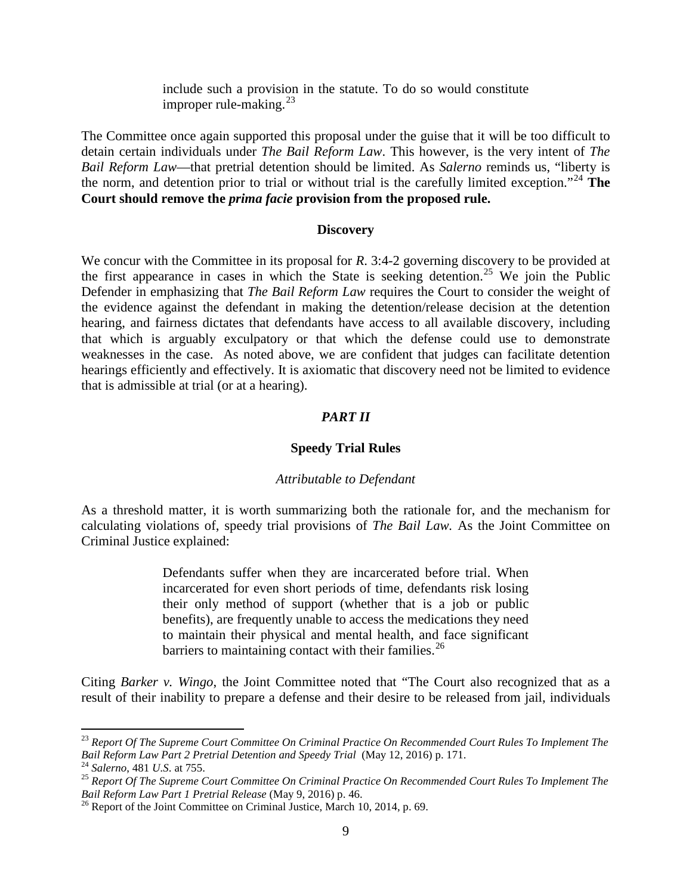include such a provision in the statute. To do so would constitute improper rule-making. $^{23}$  $^{23}$  $^{23}$ 

The Committee once again supported this proposal under the guise that it will be too difficult to detain certain individuals under *The Bail Reform Law*. This however, is the very intent of *The Bail Reform Law*—that pretrial detention should be limited. As *Salerno* reminds us, "liberty is the norm, and detention prior to trial or without trial is the carefully limited exception."[24](#page-8-1) **The Court should remove the** *prima facie* **provision from the proposed rule.** 

#### **Discovery**

We concur with the Committee in its proposal for *R*. 3:4-2 governing discovery to be provided at the first appearance in cases in which the State is seeking detention.<sup>[25](#page-8-2)</sup> We join the Public Defender in emphasizing that *The Bail Reform Law* requires the Court to consider the weight of the evidence against the defendant in making the detention/release decision at the detention hearing, and fairness dictates that defendants have access to all available discovery, including that which is arguably exculpatory or that which the defense could use to demonstrate weaknesses in the case. As noted above, we are confident that judges can facilitate detention hearings efficiently and effectively. It is axiomatic that discovery need not be limited to evidence that is admissible at trial (or at a hearing).

### *PART II*

### **Speedy Trial Rules**

#### *Attributable to Defendant*

As a threshold matter, it is worth summarizing both the rationale for, and the mechanism for calculating violations of, speedy trial provisions of *The Bail Law.* As the Joint Committee on Criminal Justice explained:

> Defendants suffer when they are incarcerated before trial. When incarcerated for even short periods of time, defendants risk losing their only method of support (whether that is a job or public benefits), are frequently unable to access the medications they need to maintain their physical and mental health, and face significant barriers to maintaining contact with their families.<sup>[26](#page-8-3)</sup>

Citing *Barker v. Wingo*, the Joint Committee noted that "The Court also recognized that as a result of their inability to prepare a defense and their desire to be released from jail, individuals

<span id="page-8-0"></span><sup>&</sup>lt;sup>23</sup> Report Of The Supreme Court Committee On Criminal Practice On Recommended Court Rules To Implement The Bail Reform Law Part 2 Pretrial Detention and Speedy Trial (May 12, 2016) p. 171.

<span id="page-8-2"></span>

<span id="page-8-1"></span><sup>&</sup>lt;sup>24</sup> Salerno, 481 U.S. at 755.<br><sup>25</sup> Report Of The Supreme Court Committee On Criminal Practice On Recommended Court Rules To Implement The<br>Bail Reform Law Part 1 Pretrial Release (May 9, 2016) p. 46.

<span id="page-8-3"></span><sup>&</sup>lt;sup>26</sup> Report of the Joint Committee on Criminal Justice, March 10, 2014, p. 69.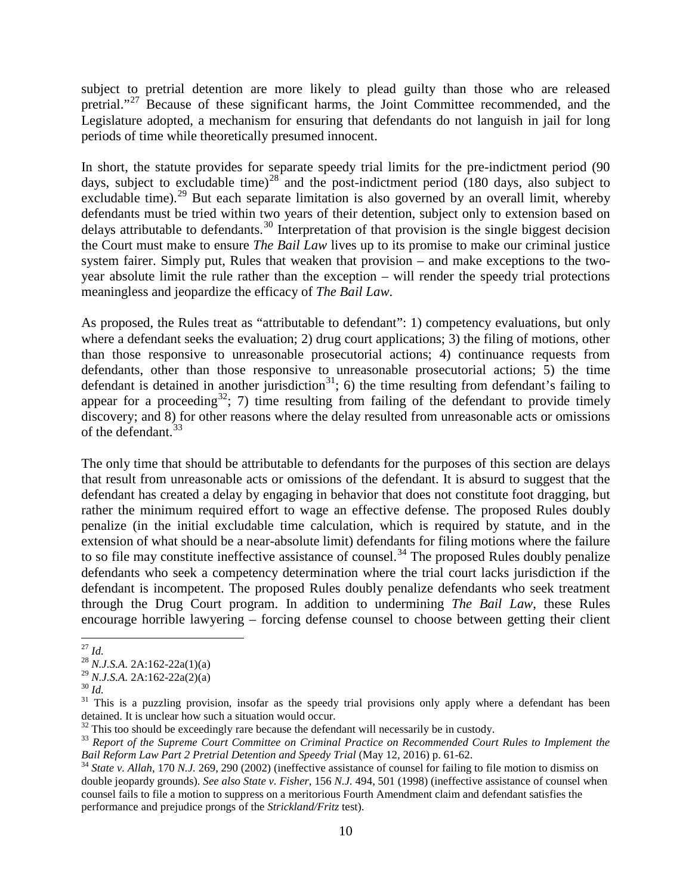subject to pretrial detention are more likely to plead guilty than those who are released pretrial."<sup>[27](#page-9-0)</sup> Because of these significant harms, the Joint Committee recommended, and the Legislature adopted, a mechanism for ensuring that defendants do not languish in jail for long periods of time while theoretically presumed innocent.

In short, the statute provides for separate speedy trial limits for the pre-indictment period (90 days, subject to excludable time)<sup>[28](#page-9-1)</sup> and the post-indictment period (180 days, also subject to excludable time).<sup>[29](#page-9-2)</sup> But each separate limitation is also governed by an overall limit, whereby defendants must be tried within two years of their detention, subject only to extension based on delays attributable to defendants.<sup>[30](#page-9-3)</sup> Interpretation of that provision is the single biggest decision the Court must make to ensure *The Bail Law* lives up to its promise to make our criminal justice system fairer. Simply put, Rules that weaken that provision – and make exceptions to the twoyear absolute limit the rule rather than the exception – will render the speedy trial protections meaningless and jeopardize the efficacy of *The Bail Law*.

As proposed, the Rules treat as "attributable to defendant": 1) competency evaluations, but only where a defendant seeks the evaluation; 2) drug court applications; 3) the filing of motions, other than those responsive to unreasonable prosecutorial actions; 4) continuance requests from defendants, other than those responsive to unreasonable prosecutorial actions; 5) the time defendant is detained in another jurisdiction<sup>31</sup>; 6) the time resulting from defendant's failing to appear for a proceeding<sup>[32](#page-9-5)</sup>; 7) time resulting from failing of the defendant to provide timely discovery; and 8) for other reasons where the delay resulted from unreasonable acts or omissions of the defendant.<sup>[33](#page-9-6)</sup>

The only time that should be attributable to defendants for the purposes of this section are delays that result from unreasonable acts or omissions of the defendant. It is absurd to suggest that the defendant has created a delay by engaging in behavior that does not constitute foot dragging, but rather the minimum required effort to wage an effective defense. The proposed Rules doubly penalize (in the initial excludable time calculation, which is required by statute, and in the extension of what should be a near-absolute limit) defendants for filing motions where the failure to so file may constitute ineffective assistance of counsel.<sup>[34](#page-9-7)</sup> The proposed Rules doubly penalize defendants who seek a competency determination where the trial court lacks jurisdiction if the defendant is incompetent. The proposed Rules doubly penalize defendants who seek treatment through the Drug Court program. In addition to undermining *The Bail Law*, these Rules encourage horrible lawyering – forcing defense counsel to choose between getting their client

<span id="page-9-1"></span><span id="page-9-0"></span><sup>&</sup>lt;sup>27</sup> *Id.* <sup>28</sup> *N.J.S.A.* 2A:162-22a(1)(a) <sup>29</sup> *N.J.S.A.* 2A:162-22a(2)(a)

<span id="page-9-4"></span><span id="page-9-3"></span><span id="page-9-2"></span><sup>&</sup>lt;sup>30</sup> *Id.* <sup>31</sup> *Id.* 31 This is a puzzling provision, insofar as the speedy trial provisions only apply where a defendant has been detained. It is unclear how such a situation would occur.<br><sup>32</sup> This too should be exceedingly rare because the defendant will necessarily be in custody.

<span id="page-9-6"></span><span id="page-9-5"></span><sup>&</sup>lt;sup>33</sup> Report of the Supreme Court Committee on Criminal Practice on Recommended Court Rules to Implement the Bail Reform Law Part 2 Pretrial Detention and Speedy Trial (May 12, 2016) p. 61-62.

<span id="page-9-7"></span> $34$  State v. Allah, 170 N.J. 269, 290 (2002) (ineffective assistance of counsel for failing to file motion to dismiss on double jeopardy grounds). *See also State v. Fisher*, 156 *N.J.* 494, 501 (1998) (ineffective assistance of counsel when counsel fails to file a motion to suppress on a meritorious Fourth Amendment claim and defendant satisfies the performance and prejudice prongs of the *Strickland/Fritz* test).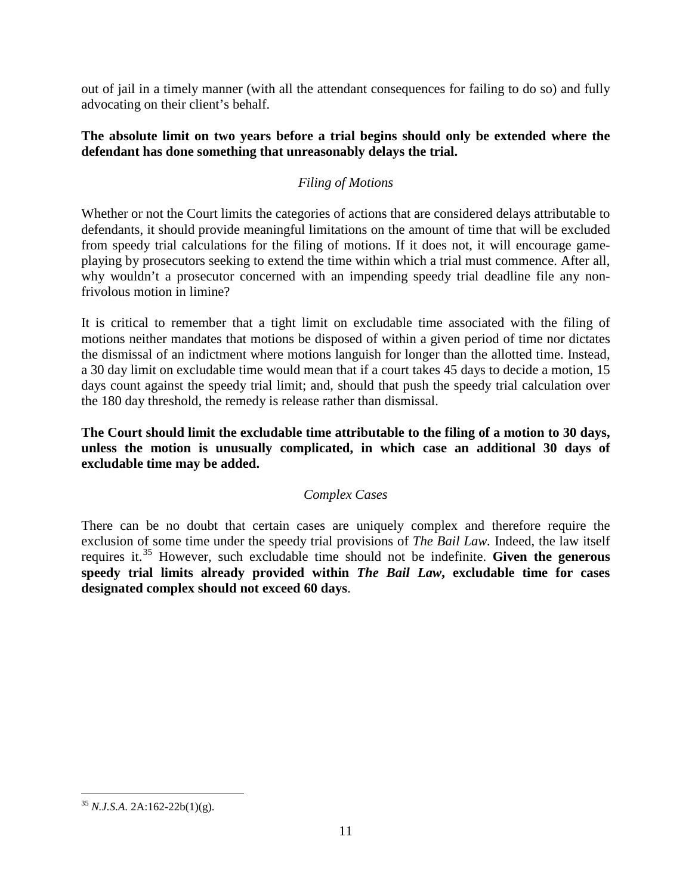out of jail in a timely manner (with all the attendant consequences for failing to do so) and fully advocating on their client's behalf.

## **The absolute limit on two years before a trial begins should only be extended where the defendant has done something that unreasonably delays the trial.**

# *Filing of Motions*

Whether or not the Court limits the categories of actions that are considered delays attributable to defendants, it should provide meaningful limitations on the amount of time that will be excluded from speedy trial calculations for the filing of motions. If it does not, it will encourage gameplaying by prosecutors seeking to extend the time within which a trial must commence. After all, why wouldn't a prosecutor concerned with an impending speedy trial deadline file any nonfrivolous motion in limine?

It is critical to remember that a tight limit on excludable time associated with the filing of motions neither mandates that motions be disposed of within a given period of time nor dictates the dismissal of an indictment where motions languish for longer than the allotted time. Instead, a 30 day limit on excludable time would mean that if a court takes 45 days to decide a motion, 15 days count against the speedy trial limit; and, should that push the speedy trial calculation over the 180 day threshold, the remedy is release rather than dismissal.

**The Court should limit the excludable time attributable to the filing of a motion to 30 days, unless the motion is unusually complicated, in which case an additional 30 days of excludable time may be added.**

# *Complex Cases*

There can be no doubt that certain cases are uniquely complex and therefore require the exclusion of some time under the speedy trial provisions of *The Bail Law.* Indeed, the law itself requires it.[35](#page-10-0) However, such excludable time should not be indefinite. **Given the generous speedy trial limits already provided within** *The Bail Law***, excludable time for cases designated complex should not exceed 60 days**.

<span id="page-10-0"></span> <sup>35</sup> *N.J.S.A.* 2A:162-22b(1)(g).